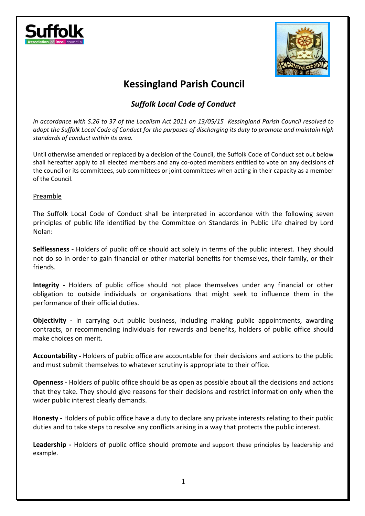



# **Kessingland Parish Council**

# *Suffolk Local Code of Conduct*

*In accordance with S.26 to 37 of the Localism Act 2011 on 13/05/15 Kessingland Parish Council resolved to adopt the Suffolk Local Code of Conduct for the purposes of discharging its duty to promote and maintain high standards of conduct within its area.*

Until otherwise amended or replaced by a decision of the Council, the Suffolk Code of Conduct set out below shall hereafter apply to all elected members and any co-opted members entitled to vote on any decisions of the council or its committees, sub committees or joint committees when acting in their capacity as a member of the Council.

#### Preamble

The Suffolk Local Code of Conduct shall be interpreted in accordance with the following seven principles of public life identified by the Committee on Standards in Public Life chaired by Lord Nolan:

**Selflessness -** Holders of public office should act solely in terms of the public interest. They should not do so in order to gain financial or other material benefits for themselves, their family, or their friends.

**Integrity -** Holders of public office should not place themselves under any financial or other obligation to outside individuals or organisations that might seek to influence them in the performance of their official duties.

**Objectivity -** In carrying out public business, including making public appointments, awarding contracts, or recommending individuals for rewards and benefits, holders of public office should make choices on merit.

**Accountability -** Holders of public office are accountable for their decisions and actions to the public and must submit themselves to whatever scrutiny is appropriate to their office.

**Openness -** Holders of public office should be as open as possible about all the decisions and actions that they take. They should give reasons for their decisions and restrict information only when the wider public interest clearly demands.

**Honesty -** Holders of public office have a duty to declare any private interests relating to their public duties and to take steps to resolve any conflicts arising in a way that protects the public interest.

**Leadership -** Holders of public office should promote and support these principles by leadership and example.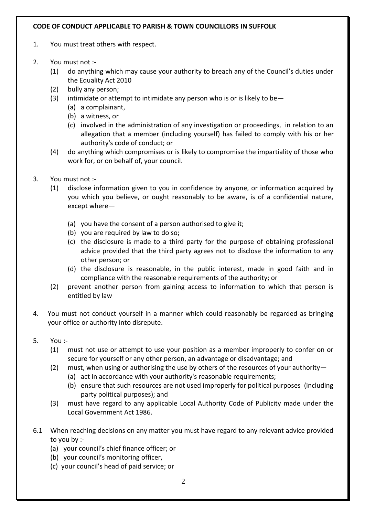#### **CODE OF CONDUCT APPLICABLE TO PARISH & TOWN COUNCILLORS IN SUFFOLK**

- 1. You must treat others with respect.
- 2. You must not :-
	- (1) do anything which may cause your authority to breach any of the Council's duties under the Equality Act 2010
	- (2) bully any person;
	- (3) intimidate or attempt to intimidate any person who is or is likely to be  $-$ 
		- (a) a complainant,
		- (b) a witness, or
		- (c) involved in the administration of any investigation or proceedings, in relation to an allegation that a member (including yourself) has failed to comply with his or her authority's code of conduct; or
	- (4) do anything which compromises or is likely to compromise the impartiality of those who work for, or on behalf of, your council.
- 3. You must not :-
	- (1) disclose information given to you in confidence by anyone, or information acquired by you which you believe, or ought reasonably to be aware, is of a confidential nature, except where—
		- (a) you have the consent of a person authorised to give it;
		- (b) you are required by law to do so;
		- (c) the disclosure is made to a third party for the purpose of obtaining professional advice provided that the third party agrees not to disclose the information to any other person; or
		- (d) the disclosure is reasonable, in the public interest, made in good faith and in compliance with the reasonable requirements of the authority; or
	- (2) prevent another person from gaining access to information to which that person is entitled by law
- 4. You must not conduct yourself in a manner which could reasonably be regarded as bringing your office or authority into disrepute.
- 5. You :-
	- (1) must not use or attempt to use your position as a member improperly to confer on or secure for yourself or any other person, an advantage or disadvantage; and
	- (2) must, when using or authorising the use by others of the resources of your authority—
		- (a) act in accordance with your authority's reasonable requirements;
		- (b) ensure that such resources are not used improperly for political purposes (including party political purposes); and
	- (3) must have regard to any applicable Local Authority Code of Publicity made under the Local Government Act 1986.
- 6.1 When reaching decisions on any matter you must have regard to any relevant advice provided to you by :-
	- (a) your council's chief finance officer; or
	- (b) your council's monitoring officer,
	- (c) your council's head of paid service; or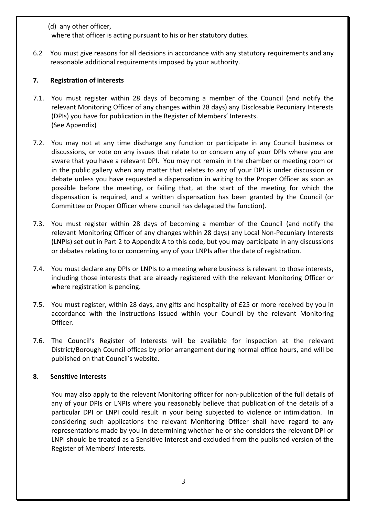(d) any other officer,

where that officer is acting pursuant to his or her statutory duties.

6.2 You must give reasons for all decisions in accordance with any statutory requirements and any reasonable additional requirements imposed by your authority.

# **7. Registration of interests**

- 7.1. You must register within 28 days of becoming a member of the Council (and notify the relevant Monitoring Officer of any changes within 28 days) any Disclosable Pecuniary Interests (DPIs) you have for publication in the Register of Members' Interests. (See Appendix)
- 7.2. You may not at any time discharge any function or participate in any Council business or discussions, or vote on any issues that relate to or concern any of your DPIs where you are aware that you have a relevant DPI. You may not remain in the chamber or meeting room or in the public gallery when any matter that relates to any of your DPI is under discussion or debate unless you have requested a dispensation in writing to the Proper Officer as soon as possible before the meeting, or failing that, at the start of the meeting for which the dispensation is required, and a written dispensation has been granted by the Council (or Committee or Proper Officer where council has delegated the function).
- 7.3. You must register within 28 days of becoming a member of the Council (and notify the relevant Monitoring Officer of any changes within 28 days) any Local Non-Pecuniary Interests (LNPIs) set out in Part 2 to Appendix A to this code, but you may participate in any discussions or debates relating to or concerning any of your LNPIs after the date of registration.
- 7.4. You must declare any DPIs or LNPIs to a meeting where business is relevant to those interests, including those interests that are already registered with the relevant Monitoring Officer or where registration is pending.
- 7.5. You must register, within 28 days, any gifts and hospitality of £25 or more received by you in accordance with the instructions issued within your Council by the relevant Monitoring Officer.
- 7.6. The Council's Register of Interests will be available for inspection at the relevant District/Borough Council offices by prior arrangement during normal office hours, and will be published on that Council's website.

# **8. Sensitive Interests**

You may also apply to the relevant Monitoring officer for non-publication of the full details of any of your DPIs or LNPIs where you reasonably believe that publication of the details of a particular DPI or LNPI could result in your being subjected to violence or intimidation. In considering such applications the relevant Monitoring Officer shall have regard to any representations made by you in determining whether he or she considers the relevant DPI or LNPI should be treated as a Sensitive Interest and excluded from the published version of the Register of Members' Interests.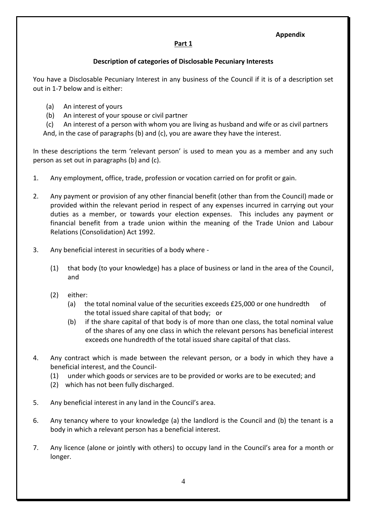#### **Appendix**

# **Part 1**

# **Description of categories of Disclosable Pecuniary Interests**

You have a Disclosable Pecuniary Interest in any business of the Council if it is of a description set out in 1-7 below and is either:

- (a) An interest of yours
- (b) An interest of your spouse or civil partner

(c) An interest of a person with whom you are living as husband and wife or as civil partners And, in the case of paragraphs (b) and (c), you are aware they have the interest.

In these descriptions the term 'relevant person' is used to mean you as a member and any such person as set out in paragraphs (b) and (c).

- 1. Any employment, office, trade, profession or vocation carried on for profit or gain.
- 2. Any payment or provision of any other financial benefit (other than from the Council) made or provided within the relevant period in respect of any expenses incurred in carrying out your duties as a member, or towards your election expenses. This includes any payment or financial benefit from a trade union within the meaning of the Trade Union and Labour Relations (Consolidation) Act 1992.
- 3. Any beneficial interest in securities of a body where
	- (1) that body (to your knowledge) has a place of business or land in the area of the Council, and
	- (2) either:
		- (a) the total nominal value of the securities exceeds £25,000 or one hundredth of the total issued share capital of that body; or
		- (b) if the share capital of that body is of more than one class, the total nominal value of the shares of any one class in which the relevant persons has beneficial interest exceeds one hundredth of the total issued share capital of that class.
- 4. Any contract which is made between the relevant person, or a body in which they have a beneficial interest, and the Council-
	- (1) under which goods or services are to be provided or works are to be executed; and
	- (2) which has not been fully discharged.
- 5. Any beneficial interest in any land in the Council's area.
- 6. Any tenancy where to your knowledge (a) the landlord is the Council and (b) the tenant is a body in which a relevant person has a beneficial interest.
- 7. Any licence (alone or jointly with others) to occupy land in the Council's area for a month or longer.